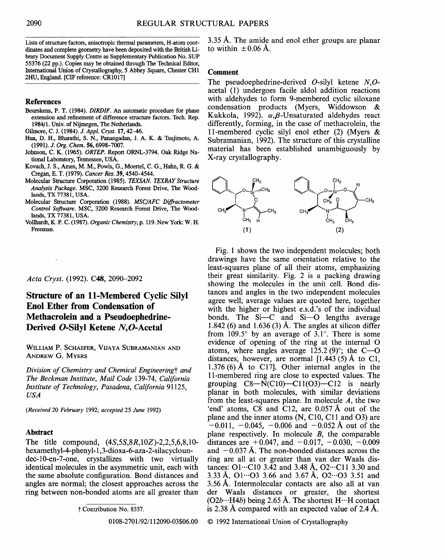Lists of structure factors, anisotropic thermal parameters, H-atom coordinates and complete geometry have been deposited with the British Library Document Supply Centre as Supplementary Publication No. SUP 55376 (22 pp.). Copies may be obtained through The Technical Editor, International Union of Crystallography, 5 Abbey Square, Chester CHI 2HU, England. [CIF reference: CR1017]

### **References**

- Beurskens, P. T. (1984). *DIRDIF. An* automatic procedure for phase **extension** and refinement of difference structure factors. Tech. Rep. 1984/1. Univ. of Nijmegen, The Netherlands.
- Gilmore, C. J. (1984). *J. Appl. Cryst.* 17, 42-46.
- Hua, D. H., Bharathi, S. N., Panangadan, J. A. K. & Tsujimoto, A. (1991). *J. Org. Chem.* 56, 6998-7007.
- Johnson, C. K. (1965). *ORTEP.* Report ORNL-3794. Oak Ridge National Laboratory, Tennessee, USA.
- Kovach, J. S., Ames, M. M., Powis, G., Moertel, C. G., Hahn, R. G. & Cregan, E. T. (1979). *Cancer Res.* 39, 4540-4544.
- Molecular Structure Corporation (1985). *TEXSAN. TEXRAY Structure Analysis Package.* MSC, 3200 Research Forest Drive, The Woodlands, TX 77381, USA.
- Molecular Structure Corporation (1988). *MSC/AFC Diffractometer Control Software.* MSC, 3200 Research Forest Drive, The Woodlands, TX 77381, USA.
- Vollhardt, K. P. C. (1987). *Organic Chemistry,* p. 119. New York: W. H. Freeman.

## *Acta Cryst.* (1992). C48, 2090-2092

# Structure **of an l l-Membered Cyclic Silyl Enol Ether from Condensation of Methaerolein and a Pseudoephedrine-**Derived O-Silyl Ketene N,O-Acetal

WILLIAM P. SCHAEFER, VIJAYA SUBRAMANIAN AND ANDREW G. MYERS

*Division of Chemistry and Chemical Engineeringt and The Beckman Institute, Mail Code* 139-74, *California Institute of Technology, Pasadena, California* 91125, *USA* 

*(Received* 20 *February* 1992; *accepted* 25 *June* 1992)

#### **Abstract**

The title compound, *(4S,5S,8R, IOZ)-2,2,5,6,8,10*  hexamethyl-4-phenyl-1,3-dioxa-6-aza-2-silacycloundec-10-en-7-one, crystallizes with two virtually identical molecules in the asymmetric unit, each with the same absolute configuration. Bond distances and angles are normal; the closest approaches across the ring between non-bonded atoms are all greater than

t Contribution No. 8557.

0108-2701/92/112090-03506.00

 $3.35$  Å. The amide and enol ether groups are planar to within  $\pm 0.06$  Å.

#### **Comment**

The pseudoephedrine-derived O-silyl ketene *N,O*acetal (1) undergoes facile aldol addition reactions with aldehydes to form 9-membered cyclic siloxane condensation products (Myers, Widdowson & Kukkola, 1992).  $\alpha$ ,  $\beta$ -Unsaturated aldehydes react differently, forming, in the case of methacrolein, the 11-membered cyclic silyl enol ether (2) (Myers & Subramanian, 1992). The structure of this crystalline material has been established unambiguously by X-ray crystallography.



Fig. 1 shows the two independent molecules; both drawings have the same orientation relative to the least-squares plane of all their atoms, emphasizing their great similarity. Fig. 2 is a packing drawing showing the molecules in the unit cell. Bond distances and angles in the two independent molecules agree well; average values are quoted here, together with the higher or highest e.s.d.'s of the individual bonds. The  $Si-C$  and  $Si-O$  lengths average 1.842 (6) and 1.636 (3) Å. The angles at silicon differ from 109.5 $\degree$  by an average of 3.1 $\degree$ . There is some evidence of opening of the ring at the internal O atoms, where angles average  $125.2(9)^\circ$ ; the C-O distances, however, are normal  $[1.443(5)$  Å to C1, 1.376 (6) Å to C17. Other internal angles in the 11-membered ring are close to expected values. The grouping  $C8-\overline{N}(C10) - C11(03) - C12$  is nearly planar in both molecules, with similar deviations from the least-squares plane. In molecule  $A$ , the two 'end' atoms, C8 and C12, are 0.057 A out of the plane and the inner atoms (N, C10, C11 and 03) are  $-0.011$ ,  $-0.045$ ,  $-0.006$  and  $-0.052$  Å out of the plane respectively. In molecule B, the comparable distances are  $+0.047$ , and  $-0.017$ ,  $-0.030$ ,  $-0.009$ and  $-0.037~\text{\AA}$ . The non-bonded distances across the ring are all at or greater than van der Waals distances: O1...C10 3.42 and 3.48 Å, O2...C11 3.30 and 3.33 Å,  $O1 \cdots O3$  3.66 and 3.67 Å,  $O2 \cdots O3$  3.51 and 3.56 A. Intermolecular contacts are also all at van der Waals distances or greater, the shortest  $(O2b \cdot \cdot \cdot H4b)$  being 2.65 Å. The shortest  $H \cdot \cdot \cdot H$  contact is 2.38 A compared with an expected value of 2.4 A.

© 1992 International Union of Crystallography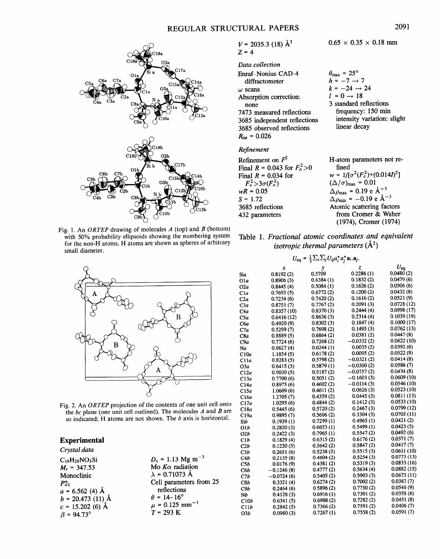

Fig. 1. An *ORTEP* drawing of molecules *A* (top) and *B* (bottom) with 50% probability ellipsoids showing the numbering system for the non-H atoms. H atoms are shown as spheres of arbitrary small diameter.



Fig. 2. An *ORTEP* projection of the contents of one unit cell onto the  $bc$  plane (one unit cell outlined). The molecules  $A$  and  $B$  are so indicated; H atoms are not shown. The b axis is horizontal.

## **Experimental**

| Crystal data         |                               |
|----------------------|-------------------------------|
| $C_{19}H_{29}NO_3Si$ | $D_r = 1.13$                  |
| $M_r = 347.53$       | Mo $K\alpha$ rad              |
| Monoclinic           | $\lambda = 0.7107$            |
| $P2_1$               | Cell param                    |
| $a = 6.562$ (4) Å    | reflection                    |
| $b = 20.473$ (11) Å  | $\theta$ = 14-16 <sup>'</sup> |
| $c = 15.202$ (6) Å   | $\mu = 0.125$                 |
| $\beta$ = 94.73°     | $T = 293 K$                   |
|                      |                               |

 $D_x = 1.13$  Mg m<sup>-3</sup>  $M$ o K $\alpha$  radiation  $\lambda = 0.71073 \text{ Å}$ Cell parameters from 25 reflections  $\theta = 14 - 16^{\circ}$  $\mu$  = 0.125 mm<sup>-1</sup>

 $V = 2035.3$  (18)  $\AA^3$ *Z=4* 

| Data collection              |
|------------------------------|
| Enraf-Nonius CAD-4           |
| diffractometer               |
| $\omega$ scans               |
| Absorption correction:       |
| none.                        |
| 7473 measured reflections    |
| 3685 independent reflections |
| 3685 observed reflections    |
| $R_{\text{int}} = 0.026$     |

#### *Refinement*

| Refinement on $F^2$               | H-atom parameters not re-                                     |
|-----------------------------------|---------------------------------------------------------------|
| Final $R = 0.043$ for $F_o^2 > 0$ | fined                                                         |
| Final $R = 0.034$ for             | $w = 1/[\sigma^2(F_o^2)+(0.014I)^2]$                          |
| $F_o^2 > 3\sigma(F_o^2)$          | $(\Delta/\sigma)_{\text{max}} = 0.01$                         |
| $wR = 0.05$                       | $\Delta \rho_{\text{max}} = 0.19 \text{ e A}^{-3}$            |
| $S = 1.72$                        | $\Delta \rho_{\text{min}} = -0.19 \text{ e } \text{\AA}^{-3}$ |
| 3685 reflections                  | Atomic scattering factors                                     |
| 432 parameters                    | from Cromer & Waber                                           |
|                                   | (1974), Cromer (1974)                                         |

Table 1. *Fractional atomic coordinates and equivalent isotropic thermal parameters*  $(\AA^2)$ 

| $U_{\text{eq}} = \frac{1}{3} \sum_i \sum_j U_{ij} a_i^* a_j^* a_i \cdot a_j.$ |              |            |              |                             |
|-------------------------------------------------------------------------------|--------------|------------|--------------|-----------------------------|
|                                                                               | x            | y          | z            | $U_{\mathbf{e} \mathbf{q}}$ |
| Sia                                                                           | 0.8192(2)    | 0.5709     | 0.2286(1)    | 0.0480(2)                   |
| 01a                                                                           | 0.8906(3)    | 0.6384(1)  | 0.1832(2)    | 0.0479(6)                   |
| O2a                                                                           | 0.8445(4)    | 0.5084(1)  | 0.1626(2)    | 0.0506(6)                   |
| Cla                                                                           | 0.7693(5)    | 0.6772(2)  | 0.1200(2)    | 0.0432(8)                   |
| C2a                                                                           | 0.7234(6)    | 0.7420(2)  | 0.1616(2)    | 0.0521(9)                   |
| СЗа                                                                           | 0.8751(7)    | 0.7767(2)  | 0.2091(3)    | 0.0728(12)                  |
| C4a                                                                           | 0.8357 (10)  | 0.8370(3)  | 0.2444(4)    | 0.0998(17)                  |
| C5a                                                                           | 0.6416(12)   | 0.8636(3)  | 0.2314(4)    | 0.1039(19)                  |
| Сба                                                                           | 0.4920(9)    | 0.8302(3)  | 0.1847(4)    | 0.1000(17)                  |
| C7a                                                                           | 0.5299(7)    | 0.7698(2)  | 0.1495(3)    | 0.0762(13)                  |
| C8a                                                                           | 0.8889(5)    | 0.6864(2)  | 0.0381(2)    | 0.0447(8)                   |
| C9a                                                                           | 0.7724(6)    | 0.7268(2)  | $-0.0332(2)$ | 0.0622(10)                  |
| Na                                                                            | 0.9627(4)    | 0.6244(1)  | 0.0035(2)    | 0.0392(6)                   |
| C10a                                                                          | 1.1854(5)    | 0.6178(2)  | 0.0095(2)    | 0.0522(9)                   |
| C11a                                                                          | 0.8283(5)    | 0.5798(2)  | $-0.0321(2)$ | 0.0414(8)                   |
| O3a                                                                           | 0.6415(3)    | 0.5879(1)  | $-0.0300(2)$ | 0.0586(7)                   |
| C12a                                                                          | 0.9030(5)    | 0.5187(2)  | $-0.0757(2)$ | 0.0434(8)                   |
| C13a                                                                          | 0.7700(6)    | 0.5051(2)  | $-0.1603(3)$ | 0.0609(10)                  |
| C14a                                                                          | 0.8975(6)    | 0.4602(2)  | $-0.0114(3)$ | 0.0546(10)                  |
| C15a                                                                          | 1.0609(6)    | 0.4611(2)  | 0.0626(3)    | 0.0523(10)                  |
| C16a                                                                          | 1.2705(7)    | 0.4359 (2) | 0.0445(3)    | 0.0811(13)                  |
| C17a                                                                          | 1.0295(6)    | 0.4844(2)  | 0.1412(3)    | 0.0533(10)                  |
| C18a                                                                          | 0.5445(6)    | 0.5720(2)  | 0.2467(3)    | 0.0799(12)                  |
| C19a                                                                          | 0.9895(7)    | 0.5606(2)  | 0.3304(3)    | 0.0705(11)                  |
| Sib                                                                           | 0.1939(1)    | 0.7299(1)  | 0.4965(1)    | 0.0421(2)                   |
| O1b                                                                           | 0.2820(3)    | 0.6653(1)  | 0.5499(1)    | 0.0423(5)                   |
| O2b                                                                           | 0.2422(3)    | 0.7965(1)  | 0.5547(2)    | 0.0492(6)                   |
| C1b                                                                           | 0.1829(4)    | 0.6315(2)  | 0.6176(2)    | 0.0371(7)                   |
| C2b                                                                           | 0.1220(5)    | 0.5642(2)  | 0.5847(2)    | 0.0417(7)                   |
| C3b                                                                           | 0.2651(6)    | 0.5238(2)  | 0.5515(3)    | 0.0611(10)                  |
| C4b                                                                           | 0.2135(8)    | 0.4604(2)  | 0.5254(3)    | 0.0773(13)                  |
| C5b                                                                           | 0.0176(9)    | 0.4381(2)  | 0.5319(3)    | 0.0833(16)                  |
| C6b                                                                           | $-0.1246(8)$ | 0.4777(2)  | 0.5634(4)    | 0.0882(15)                  |
| C1b                                                                           | $-0.0724(6)$ | 0.5405(2)  | 0.5903(3)    | 0.0675(11)                  |
| C8b                                                                           | 0.3321(4)    | 0.6274(2)  | 0.7002(2)    | 0.0387(7)                   |
| C9b                                                                           | 0.2464(6)    | 0.5896(2)  | 0.7750(2)    | 0.0546(9)                   |
| Nb                                                                            | 0.4128(3)    | 0.6916(1)  | 0.7301(2)    | 0.0358(6)                   |
| C10b                                                                          | 0.6341(5)    | 0.6988(2)  | 0.7282(2)    | 0.0451(8)                   |
| C11b                                                                          | 0.2842(5)    | 0.7366(2)  | 0.7591(2)    | 0.0406(7)                   |
| O3b                                                                           | 0.0980(3)    | 0.7267(1)  | 0.7558(2)    | 0.0591(7)                   |

 $0.65 \times 0.35 \times 0.18$  mm

3 standard reflections frequency: 150 min intensity variation: slight

linear decay

 $\theta_{\text{max}} = 25^{\circ}$  $h = -7 \rightarrow 7$  $k = -24 \rightarrow 24$  $l = 0 \rightarrow 18$